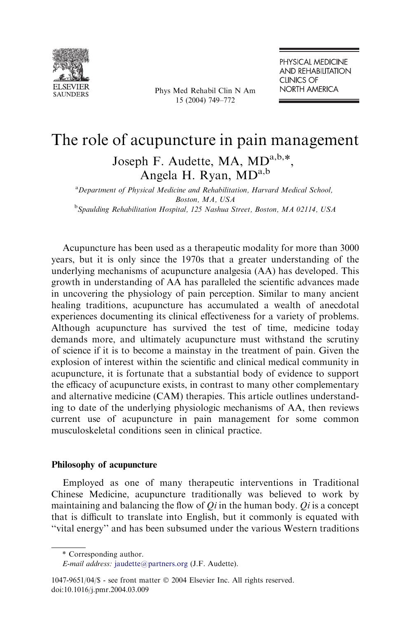

Phys Med Rehabil Clin N Am 15 (2004) 749–772

PHYSICAL MEDICINE **AND REHABILITATION CLINICS OF NORTH AMERICA** 

# The role of acupuncture in pain management Joseph F. Audette, MA,  $MD^{a,b,*}$ Angela H. Ryan,  $MD^{a,b}$

<sup>a</sup> Department of Physical Medicine and Rehabilitation, Harvard Medical School, Boston, MA, USA <sup>b</sup>Spaulding Rehabilitation Hospital, 125 Nashua Street, Boston, MA 02114, USA

Acupuncture has been used as a therapeutic modality for more than 3000 years, but it is only since the 1970s that a greater understanding of the underlying mechanisms of acupuncture analgesia (AA) has developed. This growth in understanding of AA has paralleled the scientific advances made in uncovering the physiology of pain perception. Similar to many ancient healing traditions, acupuncture has accumulated a wealth of anecdotal experiences documenting its clinical effectiveness for a variety of problems. Although acupuncture has survived the test of time, medicine today demands more, and ultimately acupuncture must withstand the scrutiny of science if it is to become a mainstay in the treatment of pain. Given the explosion of interest within the scientific and clinical medical community in acupuncture, it is fortunate that a substantial body of evidence to support the efficacy of acupuncture exists, in contrast to many other complementary and alternative medicine (CAM) therapies. This article outlines understanding to date of the underlying physiologic mechanisms of AA, then reviews current use of acupuncture in pain management for some common musculoskeletal conditions seen in clinical practice.

#### Philosophy of acupuncture

Employed as one of many therapeutic interventions in Traditional Chinese Medicine, acupuncture traditionally was believed to work by maintaining and balancing the flow of  $\overline{Qi}$  in the human body.  $\overline{Qi}$  is a concept that is difficult to translate into English, but it commonly is equated with ''vital energy'' and has been subsumed under the various Western traditions

<sup>\*</sup> Corresponding author.

E-mail address: [jaudette@partners.org](mailto:jaudette@partners.org) (J.F. Audette).

<sup>1047-9651/04/\$ -</sup> see front matter 2004 Elsevier Inc. All rights reserved. doi:10.1016/j.pmr.2004.03.009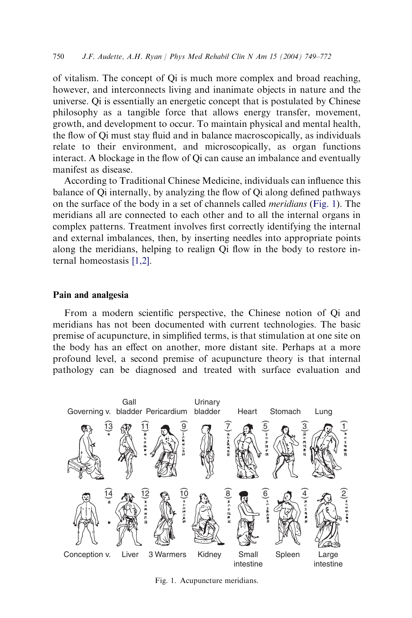of vitalism. The concept of Qi is much more complex and broad reaching, however, and interconnects living and inanimate objects in nature and the universe. Qi is essentially an energetic concept that is postulated by Chinese philosophy as a tangible force that allows energy transfer, movement, growth, and development to occur. To maintain physical and mental health, the flow of Qi must stay fluid and in balance macroscopically, as individuals relate to their environment, and microscopically, as organ functions interact. A blockage in the flow of Qi can cause an imbalance and eventually manifest as disease.

According to Traditional Chinese Medicine, individuals can influence this balance of Qi internally, by analyzing the flow of Qi along defined pathways on the surface of the body in a set of channels called meridians (Fig. 1). The meridians all are connected to each other and to all the internal organs in complex patterns. Treatment involves first correctly identifying the internal and external imbalances, then, by inserting needles into appropriate points along the meridians, helping to realign Qi flow in the body to restore internal homeostasis [\[1,2\].](#page-21-0)

#### Pain and analgesia

From a modern scientific perspective, the Chinese notion of Qi and meridians has not been documented with current technologies. The basic premise of acupuncture, in simplified terms, is that stimulation at one site on the body has an effect on another, more distant site. Perhaps at a more profound level, a second premise of acupuncture theory is that internal pathology can be diagnosed and treated with surface evaluation and



Fig. 1. Acupuncture meridians.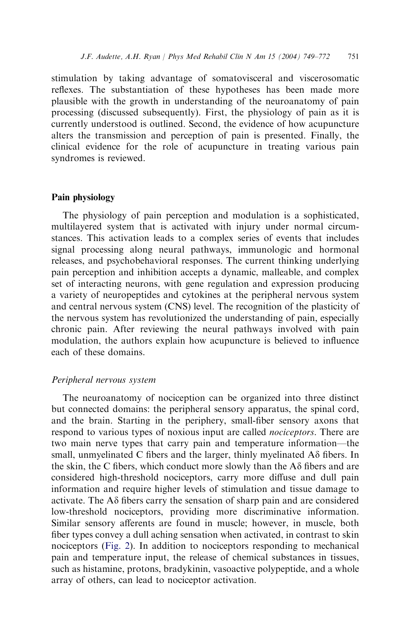stimulation by taking advantage of somatovisceral and viscerosomatic reflexes. The substantiation of these hypotheses has been made more plausible with the growth in understanding of the neuroanatomy of pain processing (discussed subsequently). First, the physiology of pain as it is currently understood is outlined. Second, the evidence of how acupuncture alters the transmission and perception of pain is presented. Finally, the clinical evidence for the role of acupuncture in treating various pain syndromes is reviewed.

#### Pain physiology

The physiology of pain perception and modulation is a sophisticated, multilayered system that is activated with injury under normal circumstances. This activation leads to a complex series of events that includes signal processing along neural pathways, immunologic and hormonal releases, and psychobehavioral responses. The current thinking underlying pain perception and inhibition accepts a dynamic, malleable, and complex set of interacting neurons, with gene regulation and expression producing a variety of neuropeptides and cytokines at the peripheral nervous system and central nervous system (CNS) level. The recognition of the plasticity of the nervous system has revolutionized the understanding of pain, especially chronic pain. After reviewing the neural pathways involved with pain modulation, the authors explain how acupuncture is believed to influence each of these domains.

# Peripheral nervous system

The neuroanatomy of nociception can be organized into three distinct but connected domains: the peripheral sensory apparatus, the spinal cord, and the brain. Starting in the periphery, small-fiber sensory axons that respond to various types of noxious input are called nociceptors. There are two main nerve types that carry pain and temperature information—the small, unmyelinated C fibers and the larger, thinly myelinated  $A\delta$  fibers. In the skin, the C fibers, which conduct more slowly than the  $A\delta$  fibers and are considered high-threshold nociceptors, carry more diffuse and dull pain information and require higher levels of stimulation and tissue damage to activate. The  $A\delta$  fibers carry the sensation of sharp pain and are considered low-threshold nociceptors, providing more discriminative information. Similar sensory afferents are found in muscle; however, in muscle, both fiber types convey a dull aching sensation when activated, in contrast to skin nociceptors ([Fig. 2](#page-3-0)). In addition to nociceptors responding to mechanical pain and temperature input, the release of chemical substances in tissues, such as histamine, protons, bradykinin, vasoactive polypeptide, and a whole array of others, can lead to nociceptor activation.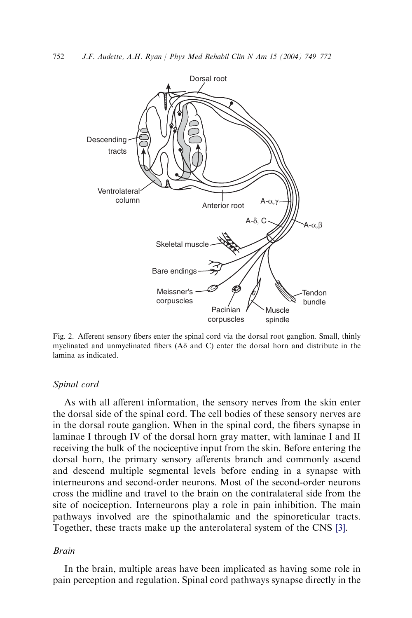<span id="page-3-0"></span>

Fig. 2. Afferent sensory fibers enter the spinal cord via the dorsal root ganglion. Small, thinly myelinated and unmyelinated fibers (A $\delta$  and C) enter the dorsal horn and distribute in the lamina as indicated.

# Spinal cord

As with all afferent information, the sensory nerves from the skin enter the dorsal side of the spinal cord. The cell bodies of these sensory nerves are in the dorsal route ganglion. When in the spinal cord, the fibers synapse in laminae I through IV of the dorsal horn gray matter, with laminae I and II receiving the bulk of the nociceptive input from the skin. Before entering the dorsal horn, the primary sensory afferents branch and commonly ascend and descend multiple segmental levels before ending in a synapse with interneurons and second-order neurons. Most of the second-order neurons cross the midline and travel to the brain on the contralateral side from the site of nociception. Interneurons play a role in pain inhibition. The main pathways involved are the spinothalamic and the spinoreticular tracts. Together, these tracts make up the anterolateral system of the CNS [\[3\]](#page-21-0).

## Brain

In the brain, multiple areas have been implicated as having some role in pain perception and regulation. Spinal cord pathways synapse directly in the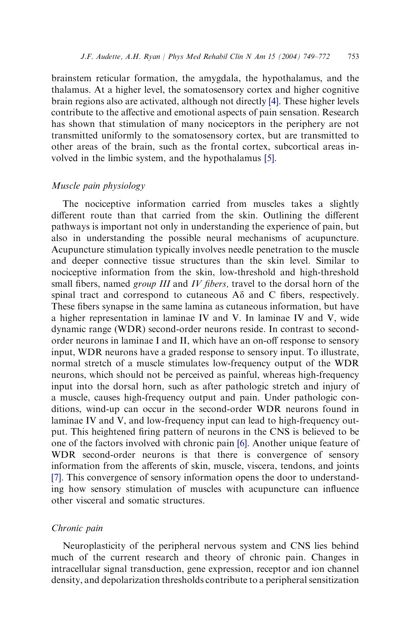brainstem reticular formation, the amygdala, the hypothalamus, and the thalamus. At a higher level, the somatosensory cortex and higher cognitive brain regions also are activated, although not directly [\[4\]](#page-21-0). These higher levels contribute to the affective and emotional aspects of pain sensation. Research has shown that stimulation of many nociceptors in the periphery are not transmitted uniformly to the somatosensory cortex, but are transmitted to other areas of the brain, such as the frontal cortex, subcortical areas involved in the limbic system, and the hypothalamus [\[5\].](#page-21-0)

# Muscle pain physiology

The nociceptive information carried from muscles takes a slightly different route than that carried from the skin. Outlining the different pathways is important not only in understanding the experience of pain, but also in understanding the possible neural mechanisms of acupuncture. Acupuncture stimulation typically involves needle penetration to the muscle and deeper connective tissue structures than the skin level. Similar to nociceptive information from the skin, low-threshold and high-threshold small fibers, named group III and IV fibers, travel to the dorsal horn of the spinal tract and correspond to cutaneous  $A\delta$  and C fibers, respectively. These fibers synapse in the same lamina as cutaneous information, but have a higher representation in laminae IV and V. In laminae IV and V, wide dynamic range (WDR) second-order neurons reside. In contrast to secondorder neurons in laminae I and II, which have an on-off response to sensory input, WDR neurons have a graded response to sensory input. To illustrate, normal stretch of a muscle stimulates low-frequency output of the WDR neurons, which should not be perceived as painful, whereas high-frequency input into the dorsal horn, such as after pathologic stretch and injury of a muscle, causes high-frequency output and pain. Under pathologic conditions, wind-up can occur in the second-order WDR neurons found in laminae IV and V, and low-frequency input can lead to high-frequency output. This heightened firing pattern of neurons in the CNS is believed to be one of the factors involved with chronic pain [\[6\]](#page-21-0). Another unique feature of WDR second-order neurons is that there is convergence of sensory information from the afferents of skin, muscle, viscera, tendons, and joints [\[7\]](#page-21-0). This convergence of sensory information opens the door to understanding how sensory stimulation of muscles with acupuncture can influence other visceral and somatic structures.

## Chronic pain

Neuroplasticity of the peripheral nervous system and CNS lies behind much of the current research and theory of chronic pain. Changes in intracellular signal transduction, gene expression, receptor and ion channel density, and depolarization thresholds contribute to a peripheral sensitization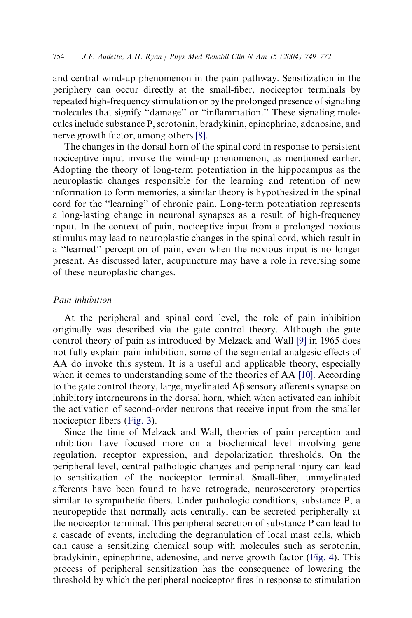and central wind-up phenomenon in the pain pathway. Sensitization in the periphery can occur directly at the small-fiber, nociceptor terminals by repeated high-frequency stimulation or by the prolonged presence of signaling molecules that signify ''damage'' or ''inflammation.'' These signaling molecules include substance P, serotonin, bradykinin, epinephrine, adenosine, and nerve growth factor, among others [\[8\]](#page-21-0).

The changes in the dorsal horn of the spinal cord in response to persistent nociceptive input invoke the wind-up phenomenon, as mentioned earlier. Adopting the theory of long-term potentiation in the hippocampus as the neuroplastic changes responsible for the learning and retention of new information to form memories, a similar theory is hypothesized in the spinal cord for the ''learning'' of chronic pain. Long-term potentiation represents a long-lasting change in neuronal synapses as a result of high-frequency input. In the context of pain, nociceptive input from a prolonged noxious stimulus may lead to neuroplastic changes in the spinal cord, which result in a ''learned'' perception of pain, even when the noxious input is no longer present. As discussed later, acupuncture may have a role in reversing some of these neuroplastic changes.

# Pain inhibition

At the peripheral and spinal cord level, the role of pain inhibition originally was described via the gate control theory. Although the gate control theory of pain as introduced by Melzack and Wall [\[9\]](#page-21-0) in 1965 does not fully explain pain inhibition, some of the segmental analgesic effects of AA do invoke this system. It is a useful and applicable theory, especially when it comes to understanding some of the theories of AA [\[10\]](#page-21-0). According to the gate control theory, large, myelinated  $\overrightarrow{AB}$  sensory afferents synapse on inhibitory interneurons in the dorsal horn, which when activated can inhibit the activation of second-order neurons that receive input from the smaller nociceptor fibers ([Fig. 3\)](#page-6-0).

Since the time of Melzack and Wall, theories of pain perception and inhibition have focused more on a biochemical level involving gene regulation, receptor expression, and depolarization thresholds. On the peripheral level, central pathologic changes and peripheral injury can lead to sensitization of the nociceptor terminal. Small-fiber, unmyelinated afferents have been found to have retrograde, neurosecretory properties similar to sympathetic fibers. Under pathologic conditions, substance P, a neuropeptide that normally acts centrally, can be secreted peripherally at the nociceptor terminal. This peripheral secretion of substance P can lead to a cascade of events, including the degranulation of local mast cells, which can cause a sensitizing chemical soup with molecules such as serotonin, bradykinin, epinephrine, adenosine, and nerve growth factor ([Fig. 4](#page-6-0)). This process of peripheral sensitization has the consequence of lowering the threshold by which the peripheral nociceptor fires in response to stimulation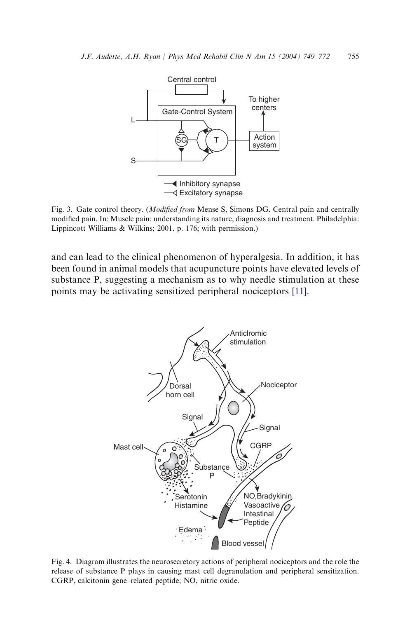<span id="page-6-0"></span>

Fig. 3. Gate control theory. (Modified from Mense S, Simons DG. Central pain and centrally modified pain. In: Muscle pain: understanding its nature, diagnosis and treatment. Philadelphia: Lippincott Williams & Wilkins; 2001. p. 176; with permission.)

and can lead to the clinical phenomenon of hyperalgesia. In addition, it has been found in animal models that acupuncture points have elevated levels of substance P, suggesting a mechanism as to why needle stimulation at these points may be activating sensitized peripheral nociceptors [\[11\].](#page-21-0)



Fig. 4. Diagram illustrates the neurosecretory actions of peripheral nociceptors and the role the release of substance P plays in causing mast cell degranulation and peripheral sensitization. CGRP, calcitonin gene–related peptide; NO, nitric oxide.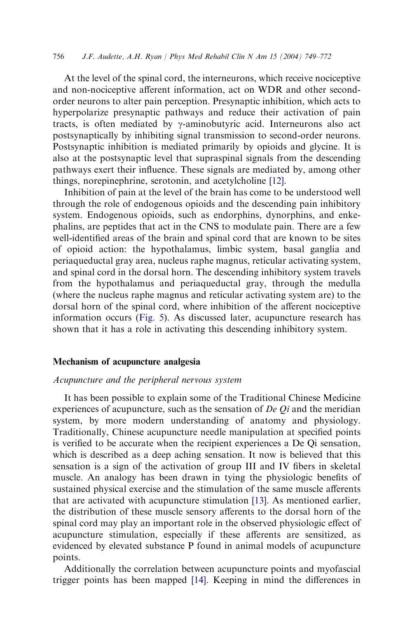At the level of the spinal cord, the interneurons, which receive nociceptive and non-nociceptive afferent information, act on WDR and other secondorder neurons to alter pain perception. Presynaptic inhibition, which acts to hyperpolarize presynaptic pathways and reduce their activation of pain tracts, is often mediated by  $\gamma$ -aminobutyric acid. Interneurons also act postsynaptically by inhibiting signal transmission to second-order neurons. Postsynaptic inhibition is mediated primarily by opioids and glycine. It is also at the postsynaptic level that supraspinal signals from the descending pathways exert their influence. These signals are mediated by, among other things, norepinephrine, serotonin, and acetylcholine [\[12\].](#page-21-0)

Inhibition of pain at the level of the brain has come to be understood well through the role of endogenous opioids and the descending pain inhibitory system. Endogenous opioids, such as endorphins, dynorphins, and enkephalins, are peptides that act in the CNS to modulate pain. There are a few well-identified areas of the brain and spinal cord that are known to be sites of opioid action: the hypothalamus, limbic system, basal ganglia and periaqueductal gray area, nucleus raphe magnus, reticular activating system, and spinal cord in the dorsal horn. The descending inhibitory system travels from the hypothalamus and periaqueductal gray, through the medulla (where the nucleus raphe magnus and reticular activating system are) to the dorsal horn of the spinal cord, where inhibition of the afferent nociceptive information occurs ([Fig. 5\)](#page-8-0). As discussed later, acupuncture research has shown that it has a role in activating this descending inhibitory system.

# Mechanism of acupuncture analgesia

# Acupuncture and the peripheral nervous system

It has been possible to explain some of the Traditional Chinese Medicine experiences of acupuncture, such as the sensation of  $De$   $Oi$  and the meridian system, by more modern understanding of anatomy and physiology. Traditionally, Chinese acupuncture needle manipulation at specified points is verified to be accurate when the recipient experiences a De Qi sensation, which is described as a deep aching sensation. It now is believed that this sensation is a sign of the activation of group III and IV fibers in skeletal muscle. An analogy has been drawn in tying the physiologic benefits of sustained physical exercise and the stimulation of the same muscle afferents that are activated with acupuncture stimulation [\[13\]](#page-21-0). As mentioned earlier, the distribution of these muscle sensory afferents to the dorsal horn of the spinal cord may play an important role in the observed physiologic effect of acupuncture stimulation, especially if these afferents are sensitized, as evidenced by elevated substance P found in animal models of acupuncture points.

Additionally the correlation between acupuncture points and myofascial trigger points has been mapped [\[14\]](#page-21-0). Keeping in mind the differences in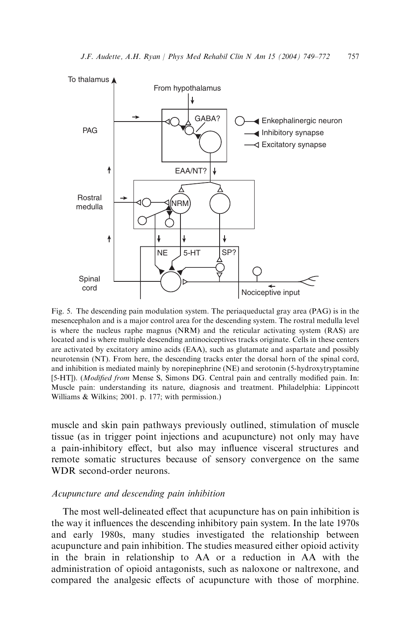<span id="page-8-0"></span>

Fig. 5. The descending pain modulation system. The periaqueductal gray area (PAG) is in the mesencephalon and is a major control area for the descending system. The rostral medulla level is where the nucleus raphe magnus (NRM) and the reticular activating system (RAS) are located and is where multiple descending antinociceptives tracks originate. Cells in these centers are activated by excitatory amino acids (EAA), such as glutamate and aspartate and possibly neurotensin (NT). From here, the descending tracks enter the dorsal horn of the spinal cord, and inhibition is mediated mainly by norepinephrine (NE) and serotonin (5-hydroxytryptamine [5-HT]). (Modified from Mense S, Simons DG. Central pain and centrally modified pain. In: Muscle pain: understanding its nature, diagnosis and treatment. Philadelphia: Lippincott Williams & Wilkins; 2001. p. 177; with permission.)

muscle and skin pain pathways previously outlined, stimulation of muscle tissue (as in trigger point injections and acupuncture) not only may have a pain-inhibitory effect, but also may influence visceral structures and remote somatic structures because of sensory convergence on the same WDR second-order neurons.

#### Acupuncture and descending pain inhibition

The most well-delineated effect that acupuncture has on pain inhibition is the way it influences the descending inhibitory pain system. In the late 1970s and early 1980s, many studies investigated the relationship between acupuncture and pain inhibition. The studies measured either opioid activity in the brain in relationship to AA or a reduction in AA with the administration of opioid antagonists, such as naloxone or naltrexone, and compared the analgesic effects of acupuncture with those of morphine.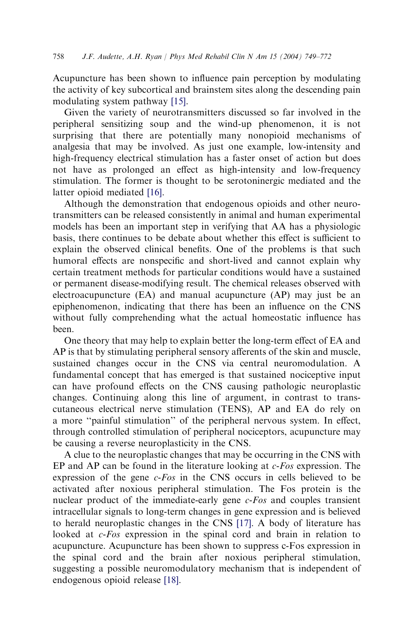Acupuncture has been shown to influence pain perception by modulating the activity of key subcortical and brainstem sites along the descending pain modulating system pathway [\[15\].](#page-21-0)

Given the variety of neurotransmitters discussed so far involved in the peripheral sensitizing soup and the wind-up phenomenon, it is not surprising that there are potentially many nonopioid mechanisms of analgesia that may be involved. As just one example, low-intensity and high-frequency electrical stimulation has a faster onset of action but does not have as prolonged an effect as high-intensity and low-frequency stimulation. The former is thought to be serotoninergic mediated and the latter opioid mediated [\[16\].](#page-21-0)

Although the demonstration that endogenous opioids and other neurotransmitters can be released consistently in animal and human experimental models has been an important step in verifying that AA has a physiologic basis, there continues to be debate about whether this effect is sufficient to explain the observed clinical benefits. One of the problems is that such humoral effects are nonspecific and short-lived and cannot explain why certain treatment methods for particular conditions would have a sustained or permanent disease-modifying result. The chemical releases observed with electroacupuncture (EA) and manual acupuncture (AP) may just be an epiphenomenon, indicating that there has been an influence on the CNS without fully comprehending what the actual homeostatic influence has been.

One theory that may help to explain better the long-term effect of EA and AP is that by stimulating peripheral sensory afferents of the skin and muscle, sustained changes occur in the CNS via central neuromodulation. A fundamental concept that has emerged is that sustained nociceptive input can have profound effects on the CNS causing pathologic neuroplastic changes. Continuing along this line of argument, in contrast to transcutaneous electrical nerve stimulation (TENS), AP and EA do rely on a more ''painful stimulation'' of the peripheral nervous system. In effect, through controlled stimulation of peripheral nociceptors, acupuncture may be causing a reverse neuroplasticity in the CNS.

A clue to the neuroplastic changes that may be occurring in the CNS with EP and AP can be found in the literature looking at  $c$ -Fos expression. The expression of the gene c-Fos in the CNS occurs in cells believed to be activated after noxious peripheral stimulation. The Fos protein is the nuclear product of the immediate-early gene *c-Fos* and couples transient intracellular signals to long-term changes in gene expression and is believed to herald neuroplastic changes in the CNS [\[17\].](#page-21-0) A body of literature has looked at c-Fos expression in the spinal cord and brain in relation to acupuncture. Acupuncture has been shown to suppress c-Fos expression in the spinal cord and the brain after noxious peripheral stimulation, suggesting a possible neuromodulatory mechanism that is independent of endogenous opioid release [\[18\]](#page-21-0).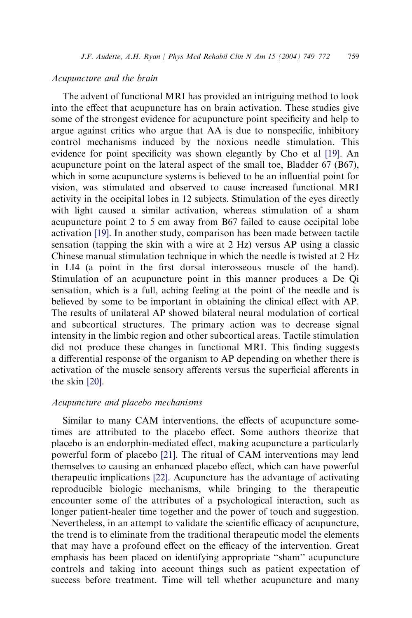#### Acupuncture and the brain

The advent of functional MRI has provided an intriguing method to look into the effect that acupuncture has on brain activation. These studies give some of the strongest evidence for acupuncture point specificity and help to argue against critics who argue that AA is due to nonspecific, inhibitory control mechanisms induced by the noxious needle stimulation. This evidence for point specificity was shown elegantly by Cho et al [\[19\]](#page-21-0). An acupuncture point on the lateral aspect of the small toe, Bladder 67 (B67), which in some acupuncture systems is believed to be an influential point for vision, was stimulated and observed to cause increased functional MRI activity in the occipital lobes in 12 subjects. Stimulation of the eyes directly with light caused a similar activation, whereas stimulation of a sham acupuncture point 2 to 5 cm away from B67 failed to cause occipital lobe activation [\[19\]](#page-21-0). In another study, comparison has been made between tactile sensation (tapping the skin with a wire at 2 Hz) versus AP using a classic Chinese manual stimulation technique in which the needle is twisted at 2 Hz in LI4 (a point in the first dorsal interosseous muscle of the hand). Stimulation of an acupuncture point in this manner produces a De Qi sensation, which is a full, aching feeling at the point of the needle and is believed by some to be important in obtaining the clinical effect with AP. The results of unilateral AP showed bilateral neural modulation of cortical and subcortical structures. The primary action was to decrease signal intensity in the limbic region and other subcortical areas. Tactile stimulation did not produce these changes in functional MRI. This finding suggests a differential response of the organism to AP depending on whether there is activation of the muscle sensory afferents versus the superficial afferents in the skin [\[20\].](#page-22-0)

# Acupuncture and placebo mechanisms

Similar to many CAM interventions, the effects of acupuncture sometimes are attributed to the placebo effect. Some authors theorize that placebo is an endorphin-mediated effect, making acupuncture a particularly powerful form of placebo [\[21\]](#page-22-0). The ritual of CAM interventions may lend themselves to causing an enhanced placebo effect, which can have powerful therapeutic implications [\[22\].](#page-22-0) Acupuncture has the advantage of activating reproducible biologic mechanisms, while bringing to the therapeutic encounter some of the attributes of a psychological interaction, such as longer patient-healer time together and the power of touch and suggestion. Nevertheless, in an attempt to validate the scientific efficacy of acupuncture, the trend is to eliminate from the traditional therapeutic model the elements that may have a profound effect on the efficacy of the intervention. Great emphasis has been placed on identifying appropriate ''sham'' acupuncture controls and taking into account things such as patient expectation of success before treatment. Time will tell whether acupuncture and many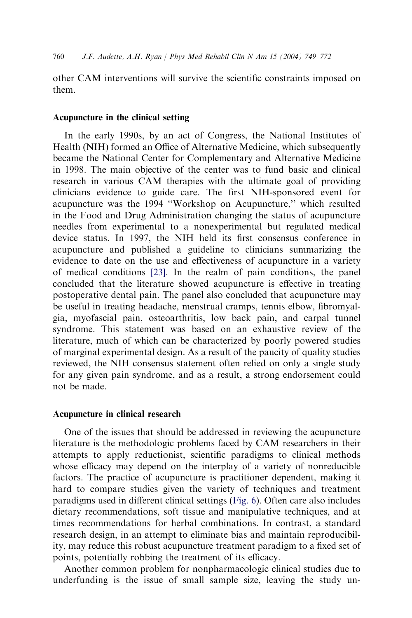other CAM interventions will survive the scientific constraints imposed on them.

# Acupuncture in the clinical setting

In the early 1990s, by an act of Congress, the National Institutes of Health (NIH) formed an Office of Alternative Medicine, which subsequently became the National Center for Complementary and Alternative Medicine in 1998. The main objective of the center was to fund basic and clinical research in various CAM therapies with the ultimate goal of providing clinicians evidence to guide care. The first NIH-sponsored event for acupuncture was the 1994 ''Workshop on Acupuncture,'' which resulted in the Food and Drug Administration changing the status of acupuncture needles from experimental to a nonexperimental but regulated medical device status. In 1997, the NIH held its first consensus conference in acupuncture and published a guideline to clinicians summarizing the evidence to date on the use and effectiveness of acupuncture in a variety of medical conditions [\[23\].](#page-22-0) In the realm of pain conditions, the panel concluded that the literature showed acupuncture is effective in treating postoperative dental pain. The panel also concluded that acupuncture may be useful in treating headache, menstrual cramps, tennis elbow, fibromyalgia, myofascial pain, osteoarthritis, low back pain, and carpal tunnel syndrome. This statement was based on an exhaustive review of the literature, much of which can be characterized by poorly powered studies of marginal experimental design. As a result of the paucity of quality studies reviewed, the NIH consensus statement often relied on only a single study for any given pain syndrome, and as a result, a strong endorsement could not be made.

# Acupuncture in clinical research

One of the issues that should be addressed in reviewing the acupuncture literature is the methodologic problems faced by CAM researchers in their attempts to apply reductionist, scientific paradigms to clinical methods whose efficacy may depend on the interplay of a variety of nonreducible factors. The practice of acupuncture is practitioner dependent, making it hard to compare studies given the variety of techniques and treatment paradigms used in different clinical settings ([Fig. 6](#page-12-0)). Often care also includes dietary recommendations, soft tissue and manipulative techniques, and at times recommendations for herbal combinations. In contrast, a standard research design, in an attempt to eliminate bias and maintain reproducibility, may reduce this robust acupuncture treatment paradigm to a fixed set of points, potentially robbing the treatment of its efficacy.

Another common problem for nonpharmacologic clinical studies due to underfunding is the issue of small sample size, leaving the study un-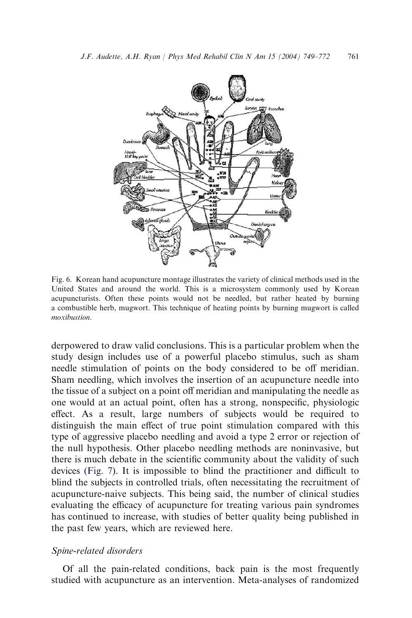<span id="page-12-0"></span>

Fig. 6. Korean hand acupuncture montage illustrates the variety of clinical methods used in the United States and around the world. This is a microsystem commonly used by Korean acupuncturists. Often these points would not be needled, but rather heated by burning a combustible herb, mugwort. This technique of heating points by burning mugwort is called moxibustion.

derpowered to draw valid conclusions. This is a particular problem when the study design includes use of a powerful placebo stimulus, such as sham needle stimulation of points on the body considered to be off meridian. Sham needling, which involves the insertion of an acupuncture needle into the tissue of a subject on a point off meridian and manipulating the needle as one would at an actual point, often has a strong, nonspecific, physiologic effect. As a result, large numbers of subjects would be required to distinguish the main effect of true point stimulation compared with this type of aggressive placebo needling and avoid a type 2 error or rejection of the null hypothesis. Other placebo needling methods are noninvasive, but there is much debate in the scientific community about the validity of such devices ([Fig. 7\)](#page-13-0). It is impossible to blind the practitioner and difficult to blind the subjects in controlled trials, often necessitating the recruitment of acupuncture-naive subjects. This being said, the number of clinical studies evaluating the efficacy of acupuncture for treating various pain syndromes has continued to increase, with studies of better quality being published in the past few years, which are reviewed here.

# Spine-related disorders

Of all the pain-related conditions, back pain is the most frequently studied with acupuncture as an intervention. Meta-analyses of randomized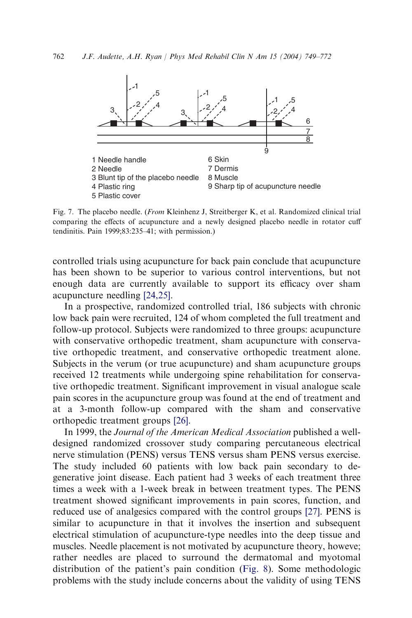<span id="page-13-0"></span>

Fig. 7. The placebo needle. (From Kleinhenz J, Streitberger K, et al. Randomized clinical trial comparing the effects of acupuncture and a newly designed placebo needle in rotator cuff tendinitis. Pain 1999;83:235–41; with permission.)

controlled trials using acupuncture for back pain conclude that acupuncture has been shown to be superior to various control interventions, but not enough data are currently available to support its efficacy over sham acupuncture needling [\[24,25\].](#page-22-0)

In a prospective, randomized controlled trial, 186 subjects with chronic low back pain were recruited, 124 of whom completed the full treatment and follow-up protocol. Subjects were randomized to three groups: acupuncture with conservative orthopedic treatment, sham acupuncture with conservative orthopedic treatment, and conservative orthopedic treatment alone. Subjects in the verum (or true acupuncture) and sham acupuncture groups received 12 treatments while undergoing spine rehabilitation for conservative orthopedic treatment. Significant improvement in visual analogue scale pain scores in the acupuncture group was found at the end of treatment and at a 3-month follow-up compared with the sham and conservative orthopedic treatment groups [\[26\]](#page-22-0).

In 1999, the Journal of the American Medical Association published a welldesigned randomized crossover study comparing percutaneous electrical nerve stimulation (PENS) versus TENS versus sham PENS versus exercise. The study included 60 patients with low back pain secondary to degenerative joint disease. Each patient had 3 weeks of each treatment three times a week with a 1-week break in between treatment types. The PENS treatment showed significant improvements in pain scores, function, and reduced use of analgesics compared with the control groups [\[27\]](#page-22-0). PENS is similar to acupuncture in that it involves the insertion and subsequent electrical stimulation of acupuncture-type needles into the deep tissue and muscles. Needle placement is not motivated by acupuncture theory, howeve; rather needles are placed to surround the dermatomal and myotomal distribution of the patient's pain condition [\(Fig. 8](#page-14-0)). Some methodologic problems with the study include concerns about the validity of using TENS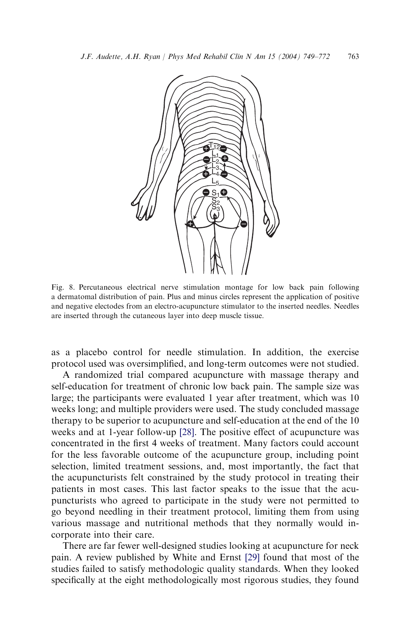<span id="page-14-0"></span>

Fig. 8. Percutaneous electrical nerve stimulation montage for low back pain following a dermatomal distribution of pain. Plus and minus circles represent the application of positive and negative electodes from an electro-acupuncture stimulator to the inserted needles. Needles are inserted through the cutaneous layer into deep muscle tissue.

as a placebo control for needle stimulation. In addition, the exercise protocol used was oversimplified, and long-term outcomes were not studied.

A randomized trial compared acupuncture with massage therapy and self-education for treatment of chronic low back pain. The sample size was large; the participants were evaluated 1 year after treatment, which was 10 weeks long; and multiple providers were used. The study concluded massage therapy to be superior to acupuncture and self-education at the end of the 10 weeks and at 1-year follow-up [\[28\].](#page-22-0) The positive effect of acupuncture was concentrated in the first 4 weeks of treatment. Many factors could account for the less favorable outcome of the acupuncture group, including point selection, limited treatment sessions, and, most importantly, the fact that the acupuncturists felt constrained by the study protocol in treating their patients in most cases. This last factor speaks to the issue that the acupuncturists who agreed to participate in the study were not permitted to go beyond needling in their treatment protocol, limiting them from using various massage and nutritional methods that they normally would incorporate into their care.

There are far fewer well-designed studies looking at acupuncture for neck pain. A review published by White and Ernst [\[29\]](#page-22-0) found that most of the studies failed to satisfy methodologic quality standards. When they looked specifically at the eight methodologically most rigorous studies, they found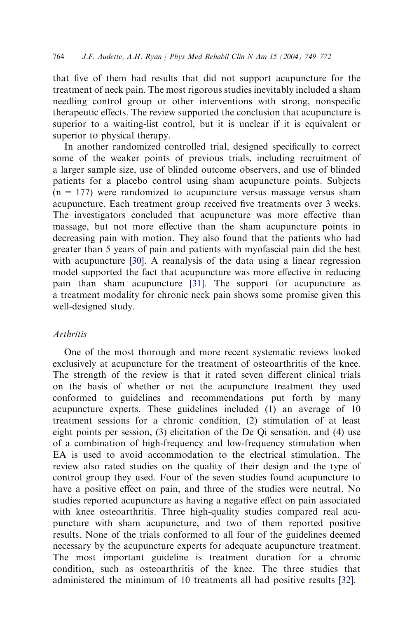that five of them had results that did not support acupuncture for the treatment of neck pain. The most rigorous studies inevitably included a sham needling control group or other interventions with strong, nonspecific therapeutic effects. The review supported the conclusion that acupuncture is superior to a waiting-list control, but it is unclear if it is equivalent or superior to physical therapy.

In another randomized controlled trial, designed specifically to correct some of the weaker points of previous trials, including recruitment of a larger sample size, use of blinded outcome observers, and use of blinded patients for a placebo control using sham acupuncture points. Subjects  $(n = 177)$  were randomized to acupuncture versus massage versus sham acupuncture. Each treatment group received five treatments over 3 weeks. The investigators concluded that acupuncture was more effective than massage, but not more effective than the sham acupuncture points in decreasing pain with motion. They also found that the patients who had greater than 5 years of pain and patients with myofascial pain did the best with acupuncture [\[30\]](#page-22-0). A reanalysis of the data using a linear regression model supported the fact that acupuncture was more effective in reducing pain than sham acupuncture [\[31\]](#page-22-0). The support for acupuncture as a treatment modality for chronic neck pain shows some promise given this well-designed study.

# **Arthritis**

One of the most thorough and more recent systematic reviews looked exclusively at acupuncture for the treatment of osteoarthritis of the knee. The strength of the review is that it rated seven different clinical trials on the basis of whether or not the acupuncture treatment they used conformed to guidelines and recommendations put forth by many acupuncture experts. These guidelines included (1) an average of 10 treatment sessions for a chronic condition, (2) stimulation of at least eight points per session, (3) elicitation of the De Qi sensation, and (4) use of a combination of high-frequency and low-frequency stimulation when EA is used to avoid accommodation to the electrical stimulation. The review also rated studies on the quality of their design and the type of control group they used. Four of the seven studies found acupuncture to have a positive effect on pain, and three of the studies were neutral. No studies reported acupuncture as having a negative effect on pain associated with knee osteoarthritis. Three high-quality studies compared real acupuncture with sham acupuncture, and two of them reported positive results. None of the trials conformed to all four of the guidelines deemed necessary by the acupuncture experts for adequate acupuncture treatment. The most important guideline is treatment duration for a chronic condition, such as osteoarthritis of the knee. The three studies that administered the minimum of 10 treatments all had positive results [\[32\].](#page-22-0)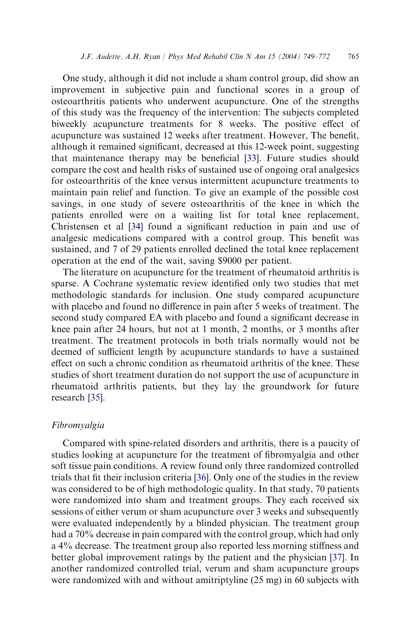One study, although it did not include a sham control group, did show an improvement in subjective pain and functional scores in a group of osteoarthritis patients who underwent acupuncture. One of the strengths of this study was the frequency of the intervention: The subjects completed biweekly acupuncture treatments for 8 weeks. The positive effect of acupuncture was sustained 12 weeks after treatment. However, The benefit, although it remained significant, decreased at this 12-week point, suggesting that maintenance therapy may be beneficial [\[33\].](#page-22-0) Future studies should compare the cost and health risks of sustained use of ongoing oral analgesics for osteoarthritis of the knee versus intermittent acupuncture treatments to maintain pain relief and function. To give an example of the possible cost savings, in one study of severe osteoarthritis of the knee in which the patients enrolled were on a waiting list for total knee replacement, Christensen et al [\[34\]](#page-22-0) found a significant reduction in pain and use of analgesic medications compared with a control group. This benefit was sustained, and 7 of 29 patients enrolled declined the total knee replacement operation at the end of the wait, saving \$9000 per patient.

The literature on acupuncture for the treatment of rheumatoid arthritis is sparse. A Cochrane systematic review identified only two studies that met methodologic standards for inclusion. One study compared acupuncture with placebo and found no difference in pain after 5 weeks of treatment. The second study compared EA with placebo and found a significant decrease in knee pain after 24 hours, but not at 1 month, 2 months, or 3 months after treatment. The treatment protocols in both trials normally would not be deemed of sufficient length by acupuncture standards to have a sustained effect on such a chronic condition as rheumatoid arthritis of the knee. These studies of short treatment duration do not support the use of acupuncture in rheumatoid arthritis patients, but they lay the groundwork for future research [\[35\].](#page-22-0)

### Fibromyalgia

Compared with spine-related disorders and arthritis, there is a paucity of studies looking at acupuncture for the treatment of fibromyalgia and other soft tissue pain conditions. A review found only three randomized controlled trials that fit their inclusion criteria [\[36\].](#page-22-0) Only one of the studies in the review was considered to be of high methodologic quality. In that study, 70 patients were randomized into sham and treatment groups. They each received six sessions of either verum or sham acupuncture over 3 weeks and subsequently were evaluated independently by a blinded physician. The treatment group had a 70% decrease in pain compared with the control group, which had only a 4% decrease. The treatment group also reported less morning stiffness and better global improvement ratings by the patient and the physician [\[37\]](#page-22-0). In another randomized controlled trial, verum and sham acupuncture groups were randomized with and without amitriptyline (25 mg) in 60 subjects with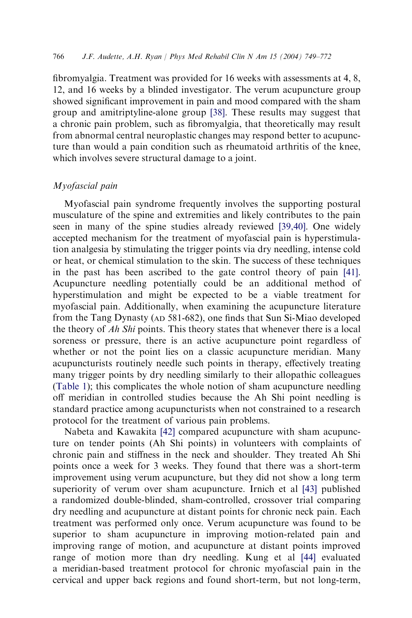fibromyalgia. Treatment was provided for 16 weeks with assessments at 4, 8, 12, and 16 weeks by a blinded investigator. The verum acupuncture group showed significant improvement in pain and mood compared with the sham group and amitriptyline-alone group [\[38\].](#page-22-0) These results may suggest that a chronic pain problem, such as fibromyalgia, that theoretically may result from abnormal central neuroplastic changes may respond better to acupuncture than would a pain condition such as rheumatoid arthritis of the knee, which involves severe structural damage to a joint.

# Myofascial pain

Myofascial pain syndrome frequently involves the supporting postural musculature of the spine and extremities and likely contributes to the pain seen in many of the spine studies already reviewed [\[39,40\]](#page-22-0). One widely accepted mechanism for the treatment of myofascial pain is hyperstimulation analgesia by stimulating the trigger points via dry needling, intense cold or heat, or chemical stimulation to the skin. The success of these techniques in the past has been ascribed to the gate control theory of pain [\[41\]](#page-22-0). Acupuncture needling potentially could be an additional method of hyperstimulation and might be expected to be a viable treatment for myofascial pain. Additionally, when examining the acupuncture literature from the Tang Dynasty (AD 581-682), one finds that Sun Si-Miao developed the theory of Ah Shi points. This theory states that whenever there is a local soreness or pressure, there is an active acupuncture point regardless of whether or not the point lies on a classic acupuncture meridian. Many acupuncturists routinely needle such points in therapy, effectively treating many trigger points by dry needling similarly to their allopathic colleagues ([Table 1](#page-18-0)); this complicates the whole notion of sham acupuncture needling off meridian in controlled studies because the Ah Shi point needling is standard practice among acupuncturists when not constrained to a research protocol for the treatment of various pain problems.

Nabeta and Kawakita [\[42\]](#page-22-0) compared acupuncture with sham acupuncture on tender points (Ah Shi points) in volunteers with complaints of chronic pain and stiffness in the neck and shoulder. They treated Ah Shi points once a week for 3 weeks. They found that there was a short-term improvement using verum acupuncture, but they did not show a long term superiority of verum over sham acupuncture. Irnich et al [\[43\]](#page-23-0) published a randomized double-blinded, sham-controlled, crossover trial comparing dry needling and acupuncture at distant points for chronic neck pain. Each treatment was performed only once. Verum acupuncture was found to be superior to sham acupuncture in improving motion-related pain and improving range of motion, and acupuncture at distant points improved range of motion more than dry needling. Kung et al [\[44\]](#page-23-0) evaluated a meridian-based treatment protocol for chronic myofascial pain in the cervical and upper back regions and found short-term, but not long-term,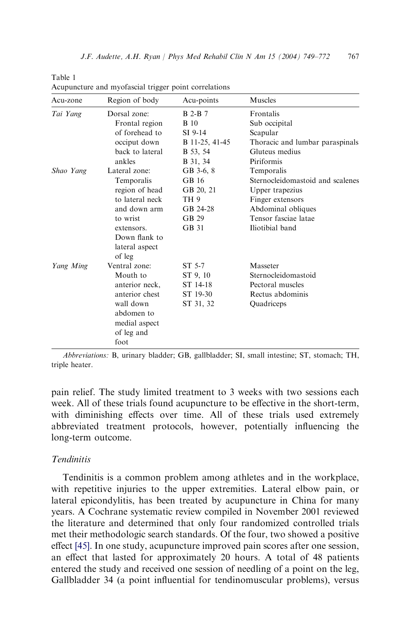| Acu-zone  | Region of body  | Acu-points             | Muscles                          |
|-----------|-----------------|------------------------|----------------------------------|
| Tai Yang  | Dorsal zone:    | <b>B</b> 2- <b>B</b> 7 | <b>Frontalis</b>                 |
|           | Frontal region  | <b>B</b> 10            | Sub occipital                    |
|           | of forehead to  | SI 9-14                | Scapular                         |
|           | occiput down    | <b>B</b> 11-25, 41-45  | Thoracic and lumbar paraspinals  |
|           | back to lateral | <b>B</b> 53, 54        | Gluteus medius                   |
|           | ankles          | <b>B</b> 31, 34        | Piriformis                       |
| Shao Yang | Lateral zone:   | GB 3-6, 8              | Temporalis                       |
|           | Temporalis      | GB 16                  | Sternocleidomastoid and scalenes |
|           | region of head  | GB 20, 21              | Upper trapezius                  |
|           | to lateral neck | TH 9                   | Finger extensors                 |
|           | and down arm    | GB 24-28               | Abdominal obliques               |
|           | to wrist        | GB 29                  | Tensor fasciae latae             |
|           | extensors.      | GB 31                  | Iliotibial band                  |
|           | Down flank to   |                        |                                  |
|           | lateral aspect  |                        |                                  |
|           | of leg          |                        |                                  |
| Yang Ming | Ventral zone:   | ST 5-7                 | Masseter                         |
|           | Mouth to        | ST 9, 10               | Sternocleidomastoid              |
|           | anterior neck,  | ST 14-18               | Pectoral muscles                 |
|           | anterior chest  | ST 19-30               | Rectus abdominis                 |
|           | wall down       | ST 31, 32              | Quadriceps                       |
|           | abdomen to      |                        |                                  |
|           | medial aspect   |                        |                                  |
|           | of leg and      |                        |                                  |
|           | foot            |                        |                                  |

Acupuncture and myofascial trigger point correlations

<span id="page-18-0"></span>Table 1

Abbreviations: B, urinary bladder; GB, gallbladder; SI, small intestine; ST, stomach; TH, triple heater.

pain relief. The study limited treatment to 3 weeks with two sessions each week. All of these trials found acupuncture to be effective in the short-term, with diminishing effects over time. All of these trials used extremely abbreviated treatment protocols, however, potentially influencing the long-term outcome.

# **Tendinitis**

Tendinitis is a common problem among athletes and in the workplace, with repetitive injuries to the upper extremities. Lateral elbow pain, or lateral epicondylitis, has been treated by acupuncture in China for many years. A Cochrane systematic review compiled in November 2001 reviewed the literature and determined that only four randomized controlled trials met their methodologic search standards. Of the four, two showed a positive effect [\[45\].](#page-23-0) In one study, acupuncture improved pain scores after one session, an effect that lasted for approximately 20 hours. A total of 48 patients entered the study and received one session of needling of a point on the leg, Gallbladder 34 (a point influential for tendinomuscular problems), versus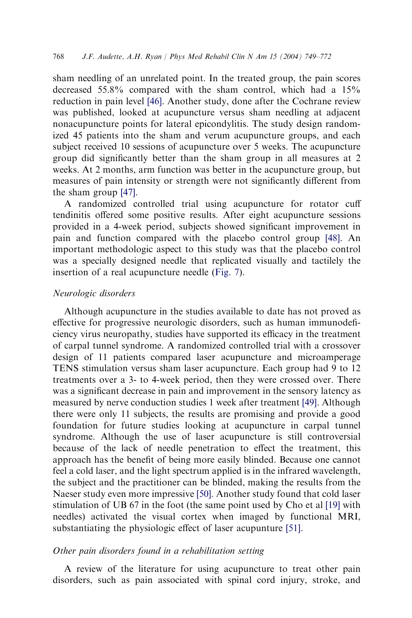sham needling of an unrelated point. In the treated group, the pain scores decreased 55.8% compared with the sham control, which had a 15% reduction in pain level [\[46\].](#page-23-0) Another study, done after the Cochrane review was published, looked at acupuncture versus sham needling at adjacent nonacupuncture points for lateral epicondylitis. The study design randomized 45 patients into the sham and verum acupuncture groups, and each subject received 10 sessions of acupuncture over 5 weeks. The acupuncture group did significantly better than the sham group in all measures at 2 weeks. At 2 months, arm function was better in the acupuncture group, but measures of pain intensity or strength were not significantly different from the sham group [\[47\].](#page-23-0)

A randomized controlled trial using acupuncture for rotator cuff tendinitis offered some positive results. After eight acupuncture sessions provided in a 4-week period, subjects showed significant improvement in pain and function compared with the placebo control group [\[48\].](#page-23-0) An important methodologic aspect to this study was that the placebo control was a specially designed needle that replicated visually and tactilely the insertion of a real acupuncture needle [\(Fig. 7\)](#page-13-0).

## Neurologic disorders

Although acupuncture in the studies available to date has not proved as effective for progressive neurologic disorders, such as human immunodeficiency virus neuropathy, studies have supported its efficacy in the treatment of carpal tunnel syndrome. A randomized controlled trial with a crossover design of 11 patients compared laser acupuncture and microamperage TENS stimulation versus sham laser acupuncture. Each group had 9 to 12 treatments over a 3- to 4-week period, then they were crossed over. There was a significant decrease in pain and improvement in the sensory latency as measured by nerve conduction studies 1 week after treatment [\[49\]](#page-23-0). Although there were only 11 subjects, the results are promising and provide a good foundation for future studies looking at acupuncture in carpal tunnel syndrome. Although the use of laser acupuncture is still controversial because of the lack of needle penetration to effect the treatment, this approach has the benefit of being more easily blinded. Because one cannot feel a cold laser, and the light spectrum applied is in the infrared wavelength, the subject and the practitioner can be blinded, making the results from the Naeser study even more impressive [\[50\]](#page-23-0). Another study found that cold laser stimulation of UB 67 in the foot (the same point used by Cho et al [\[19\]](#page-21-0) with needles) activated the visual cortex when imaged by functional MRI, substantiating the physiologic effect of laser acupunture [\[51\]](#page-23-0).

## Other pain disorders found in a rehabilitation setting

A review of the literature for using acupuncture to treat other pain disorders, such as pain associated with spinal cord injury, stroke, and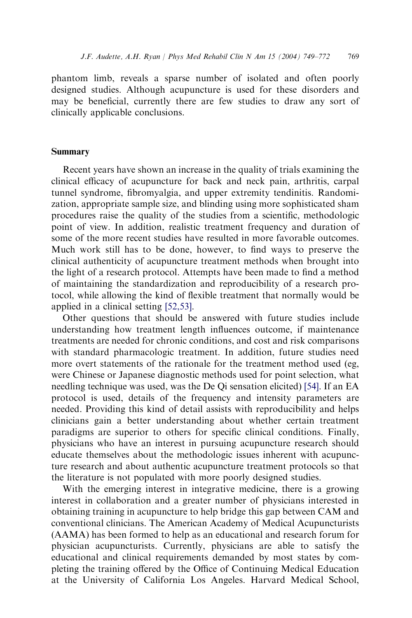phantom limb, reveals a sparse number of isolated and often poorly designed studies. Although acupuncture is used for these disorders and may be beneficial, currently there are few studies to draw any sort of clinically applicable conclusions.

#### Summary

Recent years have shown an increase in the quality of trials examining the clinical efficacy of acupuncture for back and neck pain, arthritis, carpal tunnel syndrome, fibromyalgia, and upper extremity tendinitis. Randomization, appropriate sample size, and blinding using more sophisticated sham procedures raise the quality of the studies from a scientific, methodologic point of view. In addition, realistic treatment frequency and duration of some of the more recent studies have resulted in more favorable outcomes. Much work still has to be done, however, to find ways to preserve the clinical authenticity of acupuncture treatment methods when brought into the light of a research protocol. Attempts have been made to find a method of maintaining the standardization and reproducibility of a research protocol, while allowing the kind of flexible treatment that normally would be applied in a clinical setting [\[52,53\]](#page-23-0).

Other questions that should be answered with future studies include understanding how treatment length influences outcome, if maintenance treatments are needed for chronic conditions, and cost and risk comparisons with standard pharmacologic treatment. In addition, future studies need more overt statements of the rationale for the treatment method used (eg, were Chinese or Japanese diagnostic methods used for point selection, what needling technique was used, was the De Qi sensation elicited) [\[54\]](#page-23-0). If an EA protocol is used, details of the frequency and intensity parameters are needed. Providing this kind of detail assists with reproducibility and helps clinicians gain a better understanding about whether certain treatment paradigms are superior to others for specific clinical conditions. Finally, physicians who have an interest in pursuing acupuncture research should educate themselves about the methodologic issues inherent with acupuncture research and about authentic acupuncture treatment protocols so that the literature is not populated with more poorly designed studies.

With the emerging interest in integrative medicine, there is a growing interest in collaboration and a greater number of physicians interested in obtaining training in acupuncture to help bridge this gap between CAM and conventional clinicians. The American Academy of Medical Acupuncturists (AAMA) has been formed to help as an educational and research forum for physician acupuncturists. Currently, physicians are able to satisfy the educational and clinical requirements demanded by most states by completing the training offered by the Office of Continuing Medical Education at the University of California Los Angeles. Harvard Medical School,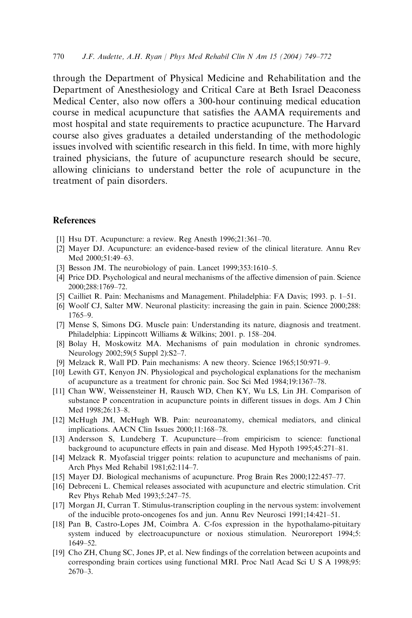<span id="page-21-0"></span>through the Department of Physical Medicine and Rehabilitation and the Department of Anesthesiology and Critical Care at Beth Israel Deaconess Medical Center, also now offers a 300-hour continuing medical education course in medical acupuncture that satisfies the AAMA requirements and most hospital and state requirements to practice acupuncture. The Harvard course also gives graduates a detailed understanding of the methodologic issues involved with scientific research in this field. In time, with more highly trained physicians, the future of acupuncture research should be secure, allowing clinicians to understand better the role of acupuncture in the treatment of pain disorders.

# References

- [1] Hsu DT. Acupuncture: a review. Reg Anesth 1996;21:361–70.
- [2] Mayer DJ. Acupuncture: an evidence-based review of the clinical literature. Annu Rev Med 2000;51:49–63.
- [3] Besson JM. The neurobiology of pain. Lancet 1999;353:1610–5.
- [4] Price DD. Psychological and neural mechanisms of the affective dimension of pain. Science 2000;288:1769–72.
- [5] Cailliet R. Pain: Mechanisms and Management. Philadelphia: FA Davis; 1993. p. 1–51.
- [6] Woolf CJ, Salter MW. Neuronal plasticity: increasing the gain in pain. Science 2000;288: 1765–9.
- [7] Mense S, Simons DG. Muscle pain: Understanding its nature, diagnosis and treatment. Philadelphia: Lippincott Williams & Wilkins; 2001. p. 158–204.
- [8] Bolay H, Moskowitz MA. Mechanisms of pain modulation in chronic syndromes. Neurology 2002;59(5 Suppl 2):S2–7.
- [9] Melzack R, Wall PD. Pain mechanisms: A new theory. Science 1965;150:971–9.
- [10] Lewith GT, Kenyon JN. Physiological and psychological explanations for the mechanism of acupuncture as a treatment for chronic pain. Soc Sci Med 1984;19:1367–78.
- [11] Chan WW, Weissensteiner H, Rausch WD, Chen KY, Wu LS, Lin JH. Comparison of substance P concentration in acupuncture points in different tissues in dogs. Am J Chin Med 1998;26:13–8.
- [12] McHugh JM, McHugh WB. Pain: neuroanatomy, chemical mediators, and clinical implications. AACN Clin Issues 2000;11:168–78.
- [13] Andersson S, Lundeberg T. Acupuncture—from empiricism to science: functional background to acupuncture effects in pain and disease. Med Hypoth 1995;45:271–81.
- [14] Melzack R. Myofascial trigger points: relation to acupuncture and mechanisms of pain. Arch Phys Med Rehabil 1981;62:114–7.
- [15] Mayer DJ. Biological mechanisms of acupuncture. Prog Brain Res 2000;122:457–77.
- [16] Debreceni L. Chemical releases associated with acupuncture and electric stimulation. Crit Rev Phys Rehab Med 1993;5:247–75.
- [17] Morgan JI, Curran T. Stimulus-transcription coupling in the nervous system: involvement of the inducible proto-oncogenes fos and jun. Annu Rev Neurosci 1991;14:421–51.
- [18] Pan B, Castro-Lopes JM, Coimbra A. C-fos expression in the hypothalamo-pituitary system induced by electroacupuncture or noxious stimulation. Neuroreport 1994;5: 1649–52.
- [19] Cho ZH, Chung SC, Jones JP, et al. New findings of the correlation between acupoints and corresponding brain cortices using functional MRI. Proc Natl Acad Sci U S A 1998;95: 2670–3.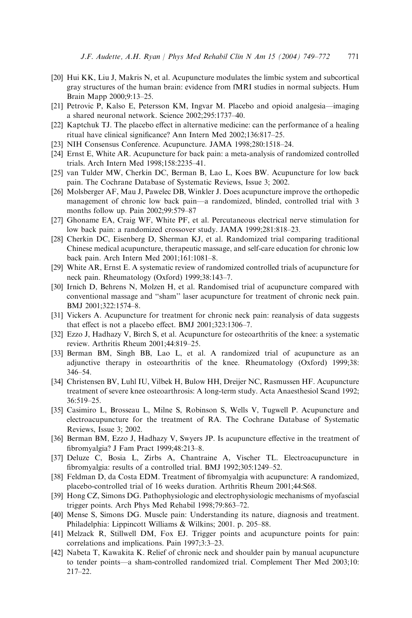- <span id="page-22-0"></span>[20] Hui KK, Liu J, Makris N, et al. Acupuncture modulates the limbic system and subcortical gray structures of the human brain: evidence from fMRI studies in normal subjects. Hum Brain Mapp 2000;9:13–25.
- [21] Petrovic P, Kalso E, Petersson KM, Ingvar M. Placebo and opioid analgesia—imaging a shared neuronal network. Science 2002;295:1737–40.
- [22] Kaptchuk TJ. The placebo effect in alternative medicine: can the performance of a healing ritual have clinical significance? Ann Intern Med 2002;136:817–25.
- [23] NIH Consensus Conference. Acupuncture. JAMA 1998;280:1518–24.
- [24] Ernst E, White AR. Acupuncture for back pain: a meta-analysis of randomized controlled trials. Arch Intern Med 1998;158:2235–41.
- [25] van Tulder MW, Cherkin DC, Berman B, Lao L, Koes BW. Acupuncture for low back pain. The Cochrane Database of Systematic Reviews, Issue 3; 2002.
- [26] Molsberger AF, Mau J, Pawelec DB, Winkler J. Does acupuncture improve the orthopedic management of chronic low back pain—a randomized, blinded, controlled trial with 3 months follow up. Pain 2002;99:579–87
- [27] Ghoname EA, Craig WF, White PF, et al. Percutaneous electrical nerve stimulation for low back pain: a randomized crossover study. JAMA 1999;281:818–23.
- [28] Cherkin DC, Eisenberg D, Sherman KJ, et al. Randomized trial comparing traditional Chinese medical acupuncture, therapeutic massage, and self-care education for chronic low back pain. Arch Intern Med 2001;161:1081–8.
- [29] White AR, Ernst E. A systematic review of randomized controlled trials of acupuncture for neck pain. Rheumatology (Oxford) 1999;38:143–7.
- [30] Irnich D, Behrens N, Molzen H, et al. Randomised trial of acupuncture compared with conventional massage and ''sham'' laser acupuncture for treatment of chronic neck pain. BMJ 2001;322:1574–8.
- [31] Vickers A. Acupuncture for treatment for chronic neck pain: reanalysis of data suggests that effect is not a placebo effect. BMJ 2001;323:1306–7.
- [32] Ezzo J, Hadhazy V, Birch S, et al. Acupuncture for osteoarthritis of the knee: a systematic review. Arthritis Rheum 2001;44:819–25.
- [33] Berman BM, Singh BB, Lao L, et al. A randomized trial of acupuncture as an adjunctive therapy in osteoarthritis of the knee. Rheumatology (Oxford) 1999;38: 346–54.
- [34] Christensen BV, Luhl IU, Vilbek H, Bulow HH, Dreijer NC, Rasmussen HF. Acupuncture treatment of severe knee osteoarthrosis: A long-term study. Acta Anaesthesiol Scand 1992; 36:519–25.
- [35] Casimiro L, Brosseau L, Milne S, Robinson S, Wells V, Tugwell P. Acupuncture and electroacupuncture for the treatment of RA. The Cochrane Database of Systematic Reviews, Issue 3; 2002.
- [36] Berman BM, Ezzo J, Hadhazy V, Swyers JP. Is acupuncture effective in the treatment of fibromyalgia? J Fam Pract 1999;48:213–8.
- [37] Deluze C, Bosia L, Zirbs A, Chantraine A, Vischer TL. Electroacupuncture in fibromyalgia: results of a controlled trial. BMJ 1992;305:1249–52.
- [38] Feldman D, da Costa EDM. Treatment of fibromyalgia with acupuncture: A randomized, placebo-controlled trial of 16 weeks duration. Arthritis Rheum 2001;44:S68.
- [39] Hong CZ, Simons DG. Pathophysiologic and electrophysiologic mechanisms of myofascial trigger points. Arch Phys Med Rehabil 1998;79:863–72.
- [40] Mense S, Simons DG. Muscle pain: Understanding its nature, diagnosis and treatment. Philadelphia: Lippincott Williams & Wilkins; 2001. p. 205–88.
- [41] Melzack R, Stillwell DM, Fox EJ. Trigger points and acupuncture points for pain: correlations and implications. Pain 1997;3:3–23.
- [42] Nabeta T, Kawakita K. Relief of chronic neck and shoulder pain by manual acupuncture to tender points—a sham-controlled randomized trial. Complement Ther Med 2003;10: 217–22.